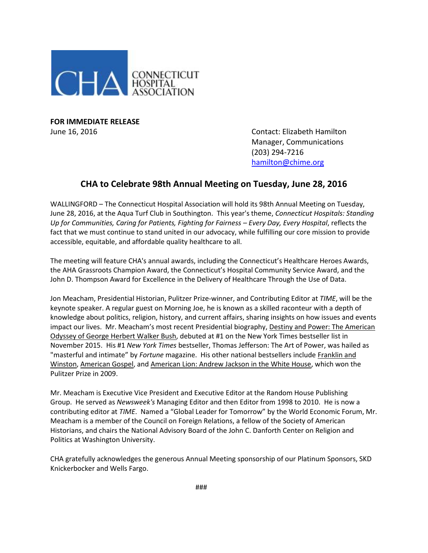

**FOR IMMEDIATE RELEASE**

June 16, 2016 Contact: Elizabeth Hamilton Manager, Communications (203) 294-7216 [hamilton@chime.org](mailto:hamilton@chime.org)

## **CHA to Celebrate 98th Annual Meeting on Tuesday, June 28, 2016**

WALLINGFORD – The Connecticut Hospital Association will hold its 98th Annual Meeting on Tuesday, June 28, 2016, at the Aqua Turf Club in Southington. This year's theme, *Connecticut Hospitals: Standing Up for Communities, Caring for Patients, Fighting for Fairness – Every Day, Every Hospital*, reflects the fact that we must continue to stand united in our advocacy, while fulfilling our core mission to provide accessible, equitable, and affordable quality healthcare to all.

The meeting will feature CHA's annual awards, including the Connecticut's Healthcare Heroes Awards, the AHA Grassroots Champion Award, the Connecticut's Hospital Community Service Award, and the John D. Thompson Award for Excellence in the Delivery of Healthcare Through the Use of Data.

Jon Meacham, Presidential Historian, Pulitzer Prize-winner, and Contributing Editor at *TIME*, will be the keynote speaker. A regular guest on Morning Joe, he is known as a skilled raconteur with a depth of knowledge about politics, religion, history, and current affairs, sharing insights on how issues and events impact our lives. Mr. Meacham's most recent Presidential biography, Destiny and Power: The American Odyssey of George Herbert Walker Bush, debuted at #1 on the New York Times bestseller list in November 2015. His #1 *New York Times* bestseller, Thomas Jefferson: The Art of Power, was hailed as "masterful and intimate" by *Fortune* magazine. His other national bestsellers include Franklin and Winston, American Gospel, and American Lion: Andrew Jackson in the White House, which won the Pulitzer Prize in 2009.

Mr. Meacham is Executive Vice President and Executive Editor at the Random House Publishing Group. He served as *Newsweek's* Managing Editor and then Editor from 1998 to 2010. He is now a contributing editor at *TIME*. Named a "Global Leader for Tomorrow" by the World Economic Forum, Mr. Meacham is a member of the Council on Foreign Relations, a fellow of the Society of American Historians, and chairs the National Advisory Board of the John C. Danforth Center on Religion and Politics at Washington University.

CHA gratefully acknowledges the generous Annual Meeting sponsorship of our Platinum Sponsors, SKD Knickerbocker and Wells Fargo.